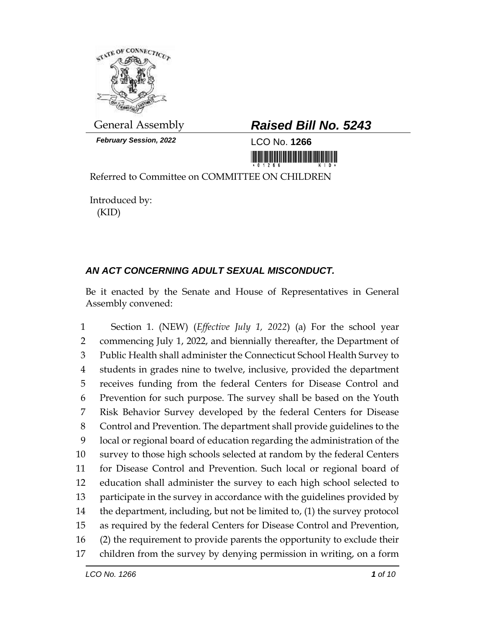

*February Session, 2022* LCO No. **1266**

## General Assembly *Raised Bill No. 5243*

<u> III maarta ka mid maarta maarta maarta maarta maarta maarta maarta maarta maarta maarta maarta maarta maarta </u>

Referred to Committee on COMMITTEE ON CHILDREN

Introduced by: (KID)

## *AN ACT CONCERNING ADULT SEXUAL MISCONDUCT.*

Be it enacted by the Senate and House of Representatives in General Assembly convened:

 Section 1. (NEW) (*Effective July 1, 2022*) (a) For the school year commencing July 1, 2022, and biennially thereafter, the Department of Public Health shall administer the Connecticut School Health Survey to students in grades nine to twelve, inclusive, provided the department receives funding from the federal Centers for Disease Control and Prevention for such purpose. The survey shall be based on the Youth Risk Behavior Survey developed by the federal Centers for Disease Control and Prevention. The department shall provide guidelines to the local or regional board of education regarding the administration of the survey to those high schools selected at random by the federal Centers for Disease Control and Prevention. Such local or regional board of education shall administer the survey to each high school selected to participate in the survey in accordance with the guidelines provided by the department, including, but not be limited to, (1) the survey protocol as required by the federal Centers for Disease Control and Prevention, (2) the requirement to provide parents the opportunity to exclude their children from the survey by denying permission in writing, on a form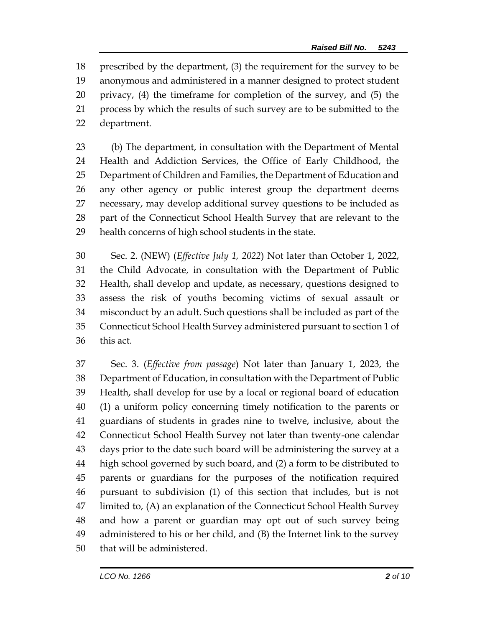prescribed by the department, (3) the requirement for the survey to be anonymous and administered in a manner designed to protect student privacy, (4) the timeframe for completion of the survey, and (5) the process by which the results of such survey are to be submitted to the department.

 (b) The department, in consultation with the Department of Mental Health and Addiction Services, the Office of Early Childhood, the Department of Children and Families, the Department of Education and any other agency or public interest group the department deems necessary, may develop additional survey questions to be included as part of the Connecticut School Health Survey that are relevant to the health concerns of high school students in the state.

 Sec. 2. (NEW) (*Effective July 1, 2022*) Not later than October 1, 2022, the Child Advocate, in consultation with the Department of Public Health, shall develop and update, as necessary, questions designed to assess the risk of youths becoming victims of sexual assault or misconduct by an adult. Such questions shall be included as part of the Connecticut School Health Survey administered pursuant to section 1 of this act.

 Sec. 3. (*Effective from passage*) Not later than January 1, 2023, the Department of Education, in consultation with the Department of Public Health, shall develop for use by a local or regional board of education (1) a uniform policy concerning timely notification to the parents or guardians of students in grades nine to twelve, inclusive, about the Connecticut School Health Survey not later than twenty-one calendar days prior to the date such board will be administering the survey at a high school governed by such board, and (2) a form to be distributed to parents or guardians for the purposes of the notification required pursuant to subdivision (1) of this section that includes, but is not limited to, (A) an explanation of the Connecticut School Health Survey and how a parent or guardian may opt out of such survey being administered to his or her child, and (B) the Internet link to the survey that will be administered.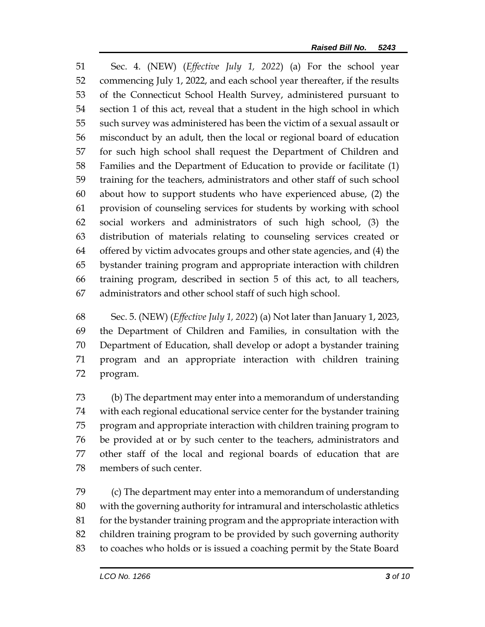Sec. 4. (NEW) (*Effective July 1, 2022*) (a) For the school year commencing July 1, 2022, and each school year thereafter, if the results of the Connecticut School Health Survey, administered pursuant to section 1 of this act, reveal that a student in the high school in which such survey was administered has been the victim of a sexual assault or misconduct by an adult, then the local or regional board of education for such high school shall request the Department of Children and Families and the Department of Education to provide or facilitate (1) training for the teachers, administrators and other staff of such school about how to support students who have experienced abuse, (2) the provision of counseling services for students by working with school social workers and administrators of such high school, (3) the distribution of materials relating to counseling services created or offered by victim advocates groups and other state agencies, and (4) the bystander training program and appropriate interaction with children training program, described in section 5 of this act, to all teachers, administrators and other school staff of such high school.

 Sec. 5. (NEW) (*Effective July 1, 2022*) (a) Not later than January 1, 2023, the Department of Children and Families, in consultation with the Department of Education, shall develop or adopt a bystander training program and an appropriate interaction with children training program.

 (b) The department may enter into a memorandum of understanding with each regional educational service center for the bystander training program and appropriate interaction with children training program to be provided at or by such center to the teachers, administrators and other staff of the local and regional boards of education that are members of such center.

 (c) The department may enter into a memorandum of understanding with the governing authority for intramural and interscholastic athletics 81 for the bystander training program and the appropriate interaction with children training program to be provided by such governing authority to coaches who holds or is issued a coaching permit by the State Board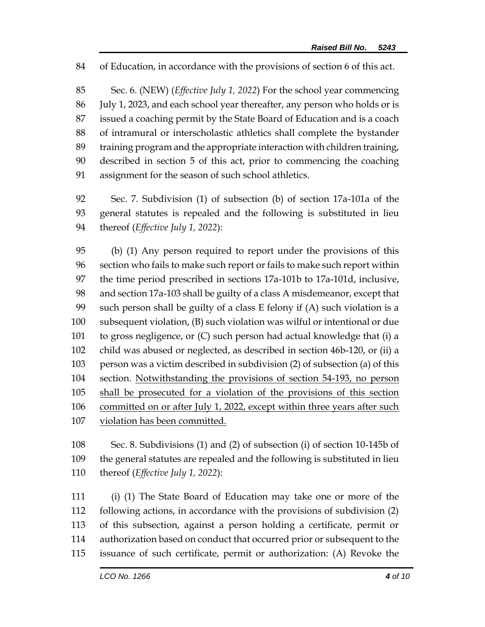of Education, in accordance with the provisions of section 6 of this act.

 Sec. 6. (NEW) (*Effective July 1, 2022*) For the school year commencing July 1, 2023, and each school year thereafter, any person who holds or is issued a coaching permit by the State Board of Education and is a coach of intramural or interscholastic athletics shall complete the bystander training program and the appropriate interaction with children training, described in section 5 of this act, prior to commencing the coaching assignment for the season of such school athletics.

 Sec. 7. Subdivision (1) of subsection (b) of section 17a-101a of the general statutes is repealed and the following is substituted in lieu thereof (*Effective July 1, 2022*):

 (b) (1) Any person required to report under the provisions of this section who fails to make such report or fails to make such report within the time period prescribed in sections 17a-101b to 17a-101d, inclusive, and section 17a-103 shall be guilty of a class A misdemeanor, except that such person shall be guilty of a class E felony if (A) such violation is a subsequent violation, (B) such violation was wilful or intentional or due to gross negligence, or (C) such person had actual knowledge that (i) a child was abused or neglected, as described in section 46b-120, or (ii) a person was a victim described in subdivision (2) of subsection (a) of this section. Notwithstanding the provisions of section 54-193, no person shall be prosecuted for a violation of the provisions of this section committed on or after July 1, 2022, except within three years after such violation has been committed.

 Sec. 8. Subdivisions (1) and (2) of subsection (i) of section 10-145b of the general statutes are repealed and the following is substituted in lieu thereof (*Effective July 1, 2022*):

 (i) (1) The State Board of Education may take one or more of the following actions, in accordance with the provisions of subdivision (2) of this subsection, against a person holding a certificate, permit or authorization based on conduct that occurred prior or subsequent to the issuance of such certificate, permit or authorization: (A) Revoke the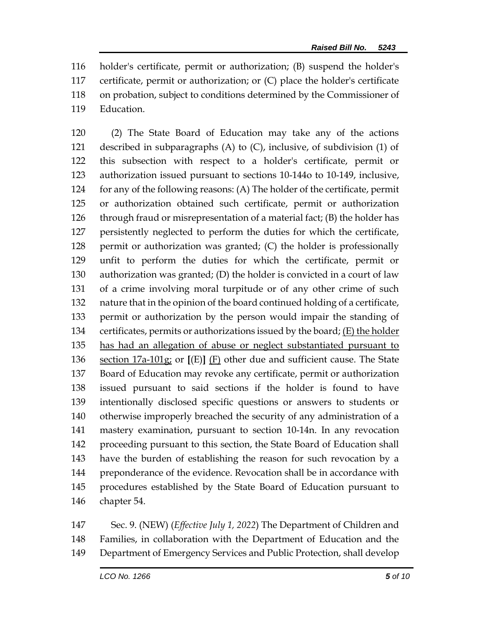holder's certificate, permit or authorization; (B) suspend the holder's certificate, permit or authorization; or (C) place the holder's certificate on probation, subject to conditions determined by the Commissioner of Education.

 (2) The State Board of Education may take any of the actions described in subparagraphs (A) to (C), inclusive, of subdivision (1) of this subsection with respect to a holder's certificate, permit or authorization issued pursuant to sections 10-144o to 10-149, inclusive, for any of the following reasons: (A) The holder of the certificate, permit or authorization obtained such certificate, permit or authorization through fraud or misrepresentation of a material fact; (B) the holder has persistently neglected to perform the duties for which the certificate, permit or authorization was granted; (C) the holder is professionally unfit to perform the duties for which the certificate, permit or authorization was granted; (D) the holder is convicted in a court of law of a crime involving moral turpitude or of any other crime of such nature that in the opinion of the board continued holding of a certificate, permit or authorization by the person would impair the standing of certificates, permits or authorizations issued by the board; (E) the holder has had an allegation of abuse or neglect substantiated pursuant to section 17a-101g; or **[**(E)**]** (F) other due and sufficient cause. The State Board of Education may revoke any certificate, permit or authorization issued pursuant to said sections if the holder is found to have intentionally disclosed specific questions or answers to students or otherwise improperly breached the security of any administration of a mastery examination, pursuant to section 10-14n. In any revocation proceeding pursuant to this section, the State Board of Education shall have the burden of establishing the reason for such revocation by a preponderance of the evidence. Revocation shall be in accordance with procedures established by the State Board of Education pursuant to chapter 54.

 Sec. 9. (NEW) (*Effective July 1, 2022*) The Department of Children and Families, in collaboration with the Department of Education and the Department of Emergency Services and Public Protection, shall develop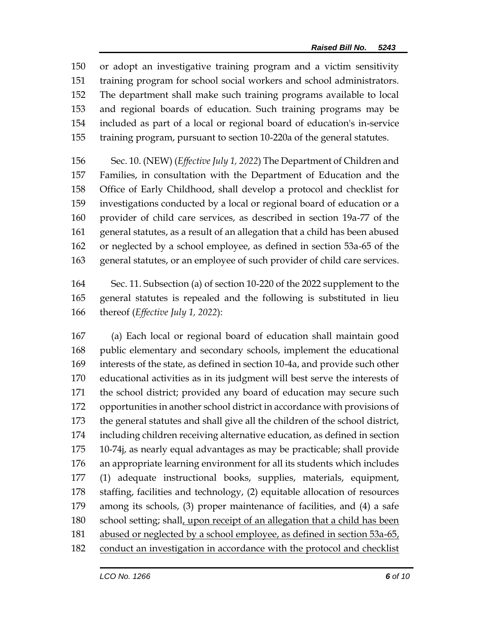or adopt an investigative training program and a victim sensitivity training program for school social workers and school administrators. The department shall make such training programs available to local and regional boards of education. Such training programs may be included as part of a local or regional board of education's in-service training program, pursuant to section 10-220a of the general statutes.

 Sec. 10. (NEW) (*Effective July 1, 2022*) The Department of Children and Families, in consultation with the Department of Education and the Office of Early Childhood, shall develop a protocol and checklist for investigations conducted by a local or regional board of education or a provider of child care services, as described in section 19a-77 of the general statutes, as a result of an allegation that a child has been abused or neglected by a school employee, as defined in section 53a-65 of the general statutes, or an employee of such provider of child care services.

 Sec. 11. Subsection (a) of section 10-220 of the 2022 supplement to the general statutes is repealed and the following is substituted in lieu thereof (*Effective July 1, 2022*):

 (a) Each local or regional board of education shall maintain good public elementary and secondary schools, implement the educational interests of the state, as defined in section 10-4a, and provide such other educational activities as in its judgment will best serve the interests of the school district; provided any board of education may secure such opportunities in another school district in accordance with provisions of the general statutes and shall give all the children of the school district, including children receiving alternative education, as defined in section 10-74j, as nearly equal advantages as may be practicable; shall provide an appropriate learning environment for all its students which includes (1) adequate instructional books, supplies, materials, equipment, staffing, facilities and technology, (2) equitable allocation of resources among its schools, (3) proper maintenance of facilities, and (4) a safe school setting; shall, upon receipt of an allegation that a child has been abused or neglected by a school employee, as defined in section 53a-65, conduct an investigation in accordance with the protocol and checklist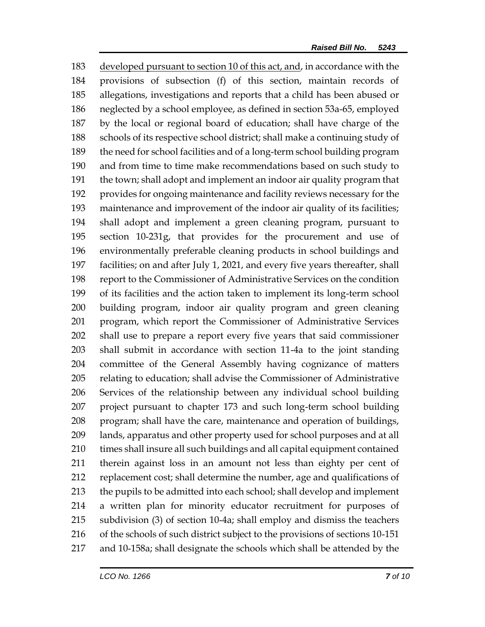developed pursuant to section 10 of this act, and, in accordance with the provisions of subsection (f) of this section, maintain records of allegations, investigations and reports that a child has been abused or neglected by a school employee, as defined in section 53a-65, employed by the local or regional board of education; shall have charge of the schools of its respective school district; shall make a continuing study of the need for school facilities and of a long-term school building program and from time to time make recommendations based on such study to the town; shall adopt and implement an indoor air quality program that provides for ongoing maintenance and facility reviews necessary for the maintenance and improvement of the indoor air quality of its facilities; shall adopt and implement a green cleaning program, pursuant to section 10-231g, that provides for the procurement and use of environmentally preferable cleaning products in school buildings and facilities; on and after July 1, 2021, and every five years thereafter, shall report to the Commissioner of Administrative Services on the condition of its facilities and the action taken to implement its long-term school building program, indoor air quality program and green cleaning program, which report the Commissioner of Administrative Services shall use to prepare a report every five years that said commissioner shall submit in accordance with section 11-4a to the joint standing committee of the General Assembly having cognizance of matters relating to education; shall advise the Commissioner of Administrative Services of the relationship between any individual school building project pursuant to chapter 173 and such long-term school building program; shall have the care, maintenance and operation of buildings, lands, apparatus and other property used for school purposes and at all times shall insure all such buildings and all capital equipment contained therein against loss in an amount not less than eighty per cent of replacement cost; shall determine the number, age and qualifications of the pupils to be admitted into each school; shall develop and implement a written plan for minority educator recruitment for purposes of subdivision (3) of section 10-4a; shall employ and dismiss the teachers of the schools of such district subject to the provisions of sections 10-151 and 10-158a; shall designate the schools which shall be attended by the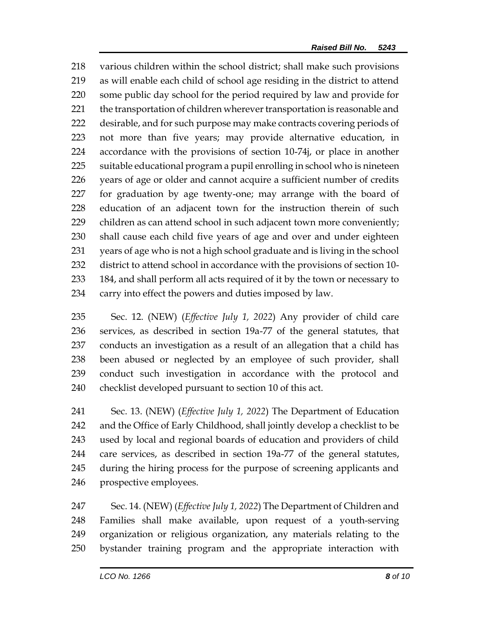various children within the school district; shall make such provisions as will enable each child of school age residing in the district to attend some public day school for the period required by law and provide for 221 the transportation of children wherever transportation is reasonable and 222 desirable, and for such purpose may make contracts covering periods of not more than five years; may provide alternative education, in accordance with the provisions of section 10-74j, or place in another suitable educational program a pupil enrolling in school who is nineteen years of age or older and cannot acquire a sufficient number of credits for graduation by age twenty-one; may arrange with the board of education of an adjacent town for the instruction therein of such 229 children as can attend school in such adjacent town more conveniently; shall cause each child five years of age and over and under eighteen years of age who is not a high school graduate and is living in the school district to attend school in accordance with the provisions of section 10- 184, and shall perform all acts required of it by the town or necessary to carry into effect the powers and duties imposed by law.

 Sec. 12. (NEW) (*Effective July 1, 2022*) Any provider of child care services, as described in section 19a-77 of the general statutes, that conducts an investigation as a result of an allegation that a child has been abused or neglected by an employee of such provider, shall conduct such investigation in accordance with the protocol and checklist developed pursuant to section 10 of this act.

 Sec. 13. (NEW) (*Effective July 1, 2022*) The Department of Education and the Office of Early Childhood, shall jointly develop a checklist to be used by local and regional boards of education and providers of child care services, as described in section 19a-77 of the general statutes, during the hiring process for the purpose of screening applicants and prospective employees.

 Sec. 14. (NEW) (*Effective July 1, 2022*) The Department of Children and Families shall make available, upon request of a youth-serving organization or religious organization, any materials relating to the bystander training program and the appropriate interaction with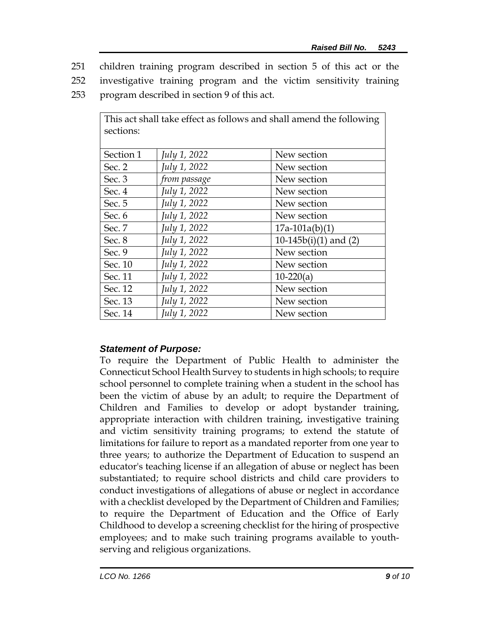- 251 children training program described in section 5 of this act or the
- 252 investigative training program and the victim sensitivity training
- 253 program described in section 9 of this act.

| This act shall take effect as follows and shall amend the following<br>sections: |              |                          |
|----------------------------------------------------------------------------------|--------------|--------------------------|
| Section 1                                                                        | July 1, 2022 | New section              |
| Sec. 2                                                                           | July 1, 2022 | New section              |
| Sec. 3                                                                           | from passage | New section              |
| Sec. 4                                                                           | July 1, 2022 | New section              |
| Sec. 5                                                                           | July 1, 2022 | New section              |
| Sec. 6                                                                           | July 1, 2022 | New section              |
| Sec. 7                                                                           | July 1, 2022 | $17a-101a(b)(1)$         |
| Sec. 8                                                                           | July 1, 2022 | 10-145 $b(i)(1)$ and (2) |
| Sec. 9                                                                           | July 1, 2022 | New section              |
| Sec. 10                                                                          | July 1, 2022 | New section              |
| Sec. 11                                                                          | July 1, 2022 | $10-220(a)$              |
| Sec. 12                                                                          | July 1, 2022 | New section              |
| Sec. 13                                                                          | July 1, 2022 | New section              |
| Sec. 14                                                                          | July 1, 2022 | New section              |

## *Statement of Purpose:*

To require the Department of Public Health to administer the Connecticut School Health Survey to students in high schools; to require school personnel to complete training when a student in the school has been the victim of abuse by an adult; to require the Department of Children and Families to develop or adopt bystander training, appropriate interaction with children training, investigative training and victim sensitivity training programs; to extend the statute of limitations for failure to report as a mandated reporter from one year to three years; to authorize the Department of Education to suspend an educator's teaching license if an allegation of abuse or neglect has been substantiated; to require school districts and child care providers to conduct investigations of allegations of abuse or neglect in accordance with a checklist developed by the Department of Children and Families; to require the Department of Education and the Office of Early Childhood to develop a screening checklist for the hiring of prospective employees; and to make such training programs available to youthserving and religious organizations.